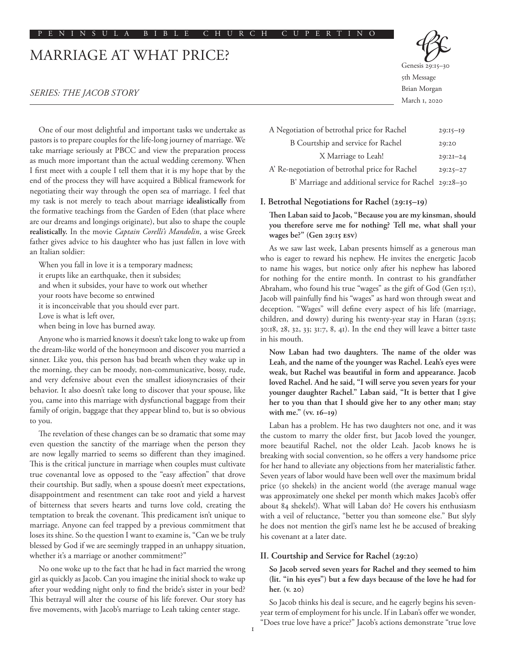# MARRIAGE AT WHAT PRICE?

#### *SERIES: THE JACOB STORY*

One of our most delightful and important tasks we undertake as pastors is to prepare couples for the life-long journey of marriage. We take marriage seriously at PBCC and view the preparation process as much more important than the actual wedding ceremony. When I first meet with a couple I tell them that it is my hope that by the end of the process they will have acquired a Biblical framework for negotiating their way through the open sea of marriage. I feel that my task is not merely to teach about marriage **idealistically** from the formative teachings from the Garden of Eden (that place where are our dreams and longings originate), but also to shape the couple **realistically.** In the movie *Captain Corelli's Mandolin*, a wise Greek father gives advice to his daughter who has just fallen in love with an Italian soldier:

When you fall in love it is a temporary madness; it erupts like an earthquake, then it subsides; and when it subsides, your have to work out whether your roots have become so entwined it is inconceivable that you should ever part. Love is what is left over, when being in love has burned away.

Anyone who is married knows it doesn't take long to wake up from the dream-like world of the honeymoon and discover you married a sinner. Like you, this person has bad breath when they wake up in the morning, they can be moody, non-communicative, bossy, rude, and very defensive about even the smallest idiosyncrasies of their behavior. It also doesn't take long to discover that your spouse, like you, came into this marriage with dysfunctional baggage from their family of origin, baggage that they appear blind to, but is so obvious to you.

The revelation of these changes can be so dramatic that some may even question the sanctity of the marriage when the person they are now legally married to seems so different than they imagined. This is the critical juncture in marriage when couples must cultivate true covenantal love as opposed to the "easy affection" that drove their courtship. But sadly, when a spouse doesn't meet expectations, disappointment and resentment can take root and yield a harvest of bitterness that severs hearts and turns love cold, creating the temptation to break the covenant. This predicament isn't unique to marriage. Anyone can feel trapped by a previous commitment that loses its shine. So the question I want to examine is, "Can we be truly blessed by God if we are seemingly trapped in an unhappy situation, whether it's a marriage or another commitment?"

No one woke up to the fact that he had in fact married the wrong girl as quickly as Jacob. Can you imagine the initial shock to wake up after your wedding night only to find the bride's sister in your bed? This betrayal will alter the course of his life forever. Our story has five movements, with Jacob's marriage to Leah taking center stage.



Genesis 29:15-5th Message Brian Morgan March 1, 2020

| A Negotiation of betrothal price for Rachel            | $29:15 - 19$ |
|--------------------------------------------------------|--------------|
| B Courtship and service for Rachel                     | 29:20        |
| X Marriage to Leah!                                    | $29:2I - 24$ |
| A' Re-negotiation of betrothal price for Rachel        | $29:25 - 27$ |
| B' Marriage and additional service for Rachel 29:28-30 |              |

#### **I. Betrothal Negotiations for Rachel (29:15–19)**

**Then Laban said to Jacob, "Because you are my kinsman, should you therefore serve me for nothing? Tell me, what shall your wages be?" (Gen 29:15 ESV)**

As we saw last week, Laban presents himself as a generous man who is eager to reward his nephew. He invites the energetic Jacob to name his wages, but notice only after his nephew has labored for nothing for the entire month. In contrast to his grandfather Abraham, who found his true "wages" as the gift of God (Gen 15:1), Jacob will painfully find his "wages" as hard won through sweat and deception. "Wages" will define every aspect of his life (marriage, children, and dowry) during his twenty-year stay in Haran (29:15; 30:18, 28, 32, 33; 31:7, 8, 41). In the end they will leave a bitter taste in his mouth.

**Now Laban had two daughters. The name of the older was Leah, and the name of the younger was Rachel. Leah's eyes were weak, but Rachel was beautiful in form and appearance. Jacob loved Rachel. And he said, "I will serve you seven years for your younger daughter Rachel." Laban said, "It is better that I give her to you than that I should give her to any other man; stay with me." (vv. 16–19)**

Laban has a problem. He has two daughters not one, and it was the custom to marry the older first, but Jacob loved the younger, more beautiful Rachel, not the older Leah. Jacob knows he is breaking with social convention, so he offers a very handsome price for her hand to alleviate any objections from her materialistic father. Seven years of labor would have been well over the maximum bridal price (50 shekels) in the ancient world (the average manual wage was approximately one shekel per month which makes Jacob's offer about 84 shekels!). What will Laban do? He covers his enthusiasm with a veil of reluctance, "better you than someone else." But slyly he does not mention the girl's name lest he be accused of breaking his covenant at a later date.

#### **II. Courtship and Service for Rachel (29:20)**

**So Jacob served seven years for Rachel and they seemed to him (lit. "in his eyes") but a few days because of the love he had for her. (v. 20)**

So Jacob thinks his deal is secure, and he eagerly begins his sevenyear term of employment for his uncle. If in Laban's offer we wonder, "Does true love have a price?" Jacob's actions demonstrate "true love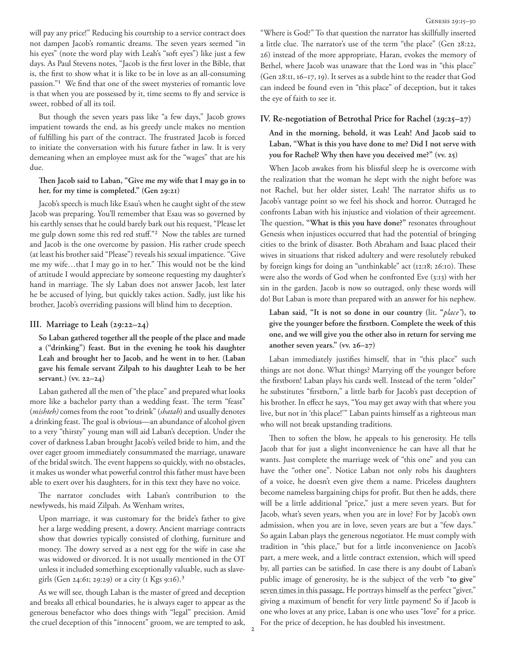will pay any price!" Reducing his courtship to a service contract does not dampen Jacob's romantic dreams. The seven years seemed "in his eyes" (note the word play with Leah's "soft eyes") like just a few days. As Paul Stevens notes, "Jacob is the first lover in the Bible, that is, the first to show what it is like to be in love as an all-consuming passion."1 We find that one of the sweet mysteries of romantic love is that when you are possessed by it, time seems to fly and service is sweet, robbed of all its toil.

But though the seven years pass like "a few days," Jacob grows impatient towards the end, as his greedy uncle makes no mention of fulfilling his part of the contract. The frustrated Jacob is forced to initiate the conversation with his future father in law. It is very demeaning when an employee must ask for the "wages" that are his due.

**Then Jacob said to Laban, "Give me my wife that I may go in to her, for my time is completed." (Gen 29:21)**

Jacob's speech is much like Esau's when he caught sight of the stew Jacob was preparing. You'll remember that Esau was so governed by his earthly senses that he could barely bark out his request, "Please let me gulp down some this red red stuff."2 Now the tables are turned and Jacob is the one overcome by passion. His rather crude speech (at least his brother said "Please") reveals his sexual impatience. "Give me my wife…that I may go in to her." This would not be the kind of attitude I would appreciate by someone requesting my daughter's hand in marriage. The sly Laban does not answer Jacob, lest later he be accused of lying, but quickly takes action. Sadly, just like his brother, Jacob's overriding passions will blind him to deception.

#### **III. Marriage to Leah (29:22–24)**

**So Laban gathered together all the people of the place and made a ("drinking") feast. But in the evening he took his daughter Leah and brought her to Jacob, and he went in to her. (Laban gave his female servant Zilpah to his daughter Leah to be her servant.) (vv. 22–24)**

Laban gathered all the men of "the place" and prepared what looks more like a bachelor party than a wedding feast. The term "feast" (*mishteh)* comes from the root "to drink" (*shatah*) and usually denotes a drinking feast. The goal is obvious—an abundance of alcohol given to a very "thirsty" young man will aid Laban's deception. Under the cover of darkness Laban brought Jacob's veiled bride to him, and the over eager groom immediately consummated the marriage, unaware of the bridal switch. The event happens so quickly, with no obstacles, it makes us wonder what powerful control this father must have been able to exert over his daughters, for in this text they have no voice.

The narrator concludes with Laban's contribution to the newlyweds, his maid Zilpah. As Wenham writes,

Upon marriage, it was customary for the bride's father to give her a large wedding present, a dowry. Ancient marriage contracts show that dowries typically consisted of clothing, furniture and money. The dowry served as a nest egg for the wife in case she was widowed or divorced. It is not usually mentioned in the OT unless it included something exceptionally valuable, such as slavegirls (Gen 24:61; 29:29) or a city (1 Kgs 9:16).3

As we will see, though Laban is the master of greed and deception and breaks all ethical boundaries, he is always eager to appear as the generous benefactor who does things with "legal" precision. Amid the cruel deception of this "innocent" groom, we are tempted to ask,

"Where is God?" To that question the narrator has skillfully inserted a little clue. The narrator's use of the term "the place" (Gen 28:22, 26) instead of the more appropriate, Haran, evokes the memory of Bethel, where Jacob was unaware that the Lord was in "this place" (Gen 28:11, 16–17, 19). It serves as a subtle hint to the reader that God can indeed be found even in "this place" of deception, but it takes the eye of faith to see it.

#### **IV. Re-negotiation of Betrothal Price for Rachel (29:25–27)**

**And in the morning, behold, it was Leah! And Jacob said to Laban, "What is this you have done to me? Did I not serve with you for Rachel? Why then have you deceived me?" (vv. 25)**

When Jacob awakes from his blissful sleep he is overcome with the realization that the woman he slept with the night before was not Rachel, but her older sister, Leah! The narrator shifts us to Jacob's vantage point so we feel his shock and horror. Outraged he confronts Laban with his injustice and violation of their agreement. The question, **"What is this you have done?"** resonates throughout Genesis when injustices occurred that had the potential of bringing cities to the brink of disaster. Both Abraham and Isaac placed their wives in situations that risked adultery and were resolutely rebuked by foreign kings for doing an "unthinkable" act (12:18; 26:10). These were also the words of God when he confronted Eve (3:13) with her sin in the garden. Jacob is now so outraged, only these words will do! But Laban is more than prepared with an answer for his nephew.

**Laban said, "It is not so done in our country (**lit**. "***place"***), to give the younger before the firstborn. Complete the week of this one, and we will give you the other also in return for serving me another seven years." (vv. 26–27)**

Laban immediately justifies himself, that in "this place" such things are not done. What things? Marrying off the younger before the firstborn! Laban plays his cards well. Instead of the term "older" he substitutes "firstborn," a little barb for Jacob's past deception of his brother. In effect he says, "You may get away with that where you live, but not in 'this place!'" Laban paints himself as a righteous man who will not break upstanding traditions.

Then to soften the blow, he appeals to his generosity. He tells Jacob that for just a slight inconvenience he can have all that he wants. Just complete the marriage week of "this one" and you can have the "other one". Notice Laban not only robs his daughters of a voice, he doesn't even give them a name. Priceless daughters become nameless bargaining chips for profit. But then he adds, there will be a little additional "price," just a mere seven years. But for Jacob, what's seven years, when you are in love? For by Jacob's own admission, when you are in love, seven years are but a "few days." So again Laban plays the generous negotiator. He must comply with tradition in "this place," but for a little inconvenience on Jacob's part, a mere week, and a little contract extension, which will speed by, all parties can be satisfied. In case there is any doubt of Laban's public image of generosity, he is the subject of the verb "**to give**" seven times in this passage*.* He portrays himself as the perfect "giver," giving a maximum of benefit for very little payment! So if Jacob is one who loves at any price, Laban is one who uses "love" for a price. For the price of deception, he has doubled his investment.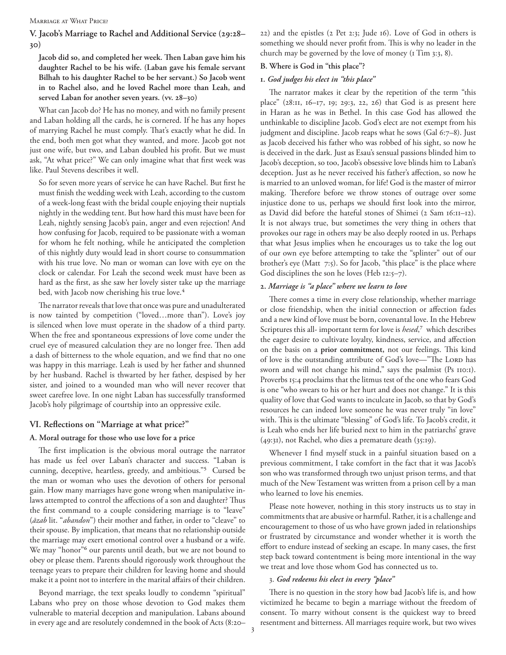Marriage at What Price?

# **V. Jacob's Marriage to Rachel and Additional Service (29:28– 30)**

**Jacob did so, and completed her week. Then Laban gave him his daughter Rachel to be his wife. (Laban gave his female servant Bilhah to his daughter Rachel to be her servant.) So Jacob went in to Rachel also, and he loved Rachel more than Leah, and served Laban for another seven years. (vv. 28–30)**

What can Jacob do? He has no money, and with no family present and Laban holding all the cards, he is cornered. If he has any hopes of marrying Rachel he must comply. That's exactly what he did. In the end, both men got what they wanted, and more. Jacob got not just one wife, but two, and Laban doubled his profit. But we must ask, "At what price?" We can only imagine what that first week was like. Paul Stevens describes it well.

So for seven more years of service he can have Rachel. But first he must finish the wedding week with Leah, according to the custom of a week-long feast with the bridal couple enjoying their nuptials nightly in the wedding tent. But how hard this must have been for Leah, nightly sensing Jacob's pain, anger and even rejection! And how confusing for Jacob, required to be passionate with a woman for whom he felt nothing, while he anticipated the completion of this nightly duty would lead in short course to consummation with his true love. No man or woman can love with eye on the clock or calendar. For Leah the second week must have been as hard as the first, as she saw her lovely sister take up the marriage bed, with Jacob now cherishing his true love.<sup>4</sup>

The narrator reveals that love that once was pure and unadulterated is now tainted by competition ("loved…more than"). Love's joy is silenced when love must operate in the shadow of a third party. When the free and spontaneous expressions of love come under the cruel eye of measured calculation they are no longer free. Then add a dash of bitterness to the whole equation, and we find that no one was happy in this marriage. Leah is used by her father and shunned by her husband. Rachel is thwarted by her father, despised by her sister, and joined to a wounded man who will never recover that sweet carefree love. In one night Laban has successfully transformed Jacob's holy pilgrimage of courtship into an oppressive exile.

# **VI. Reflections on "Marriage at what price?"**

#### **A. Moral outrage for those who use love for a price**

The first implication is the obvious moral outrage the narrator has made us feel over Laban's character and success. "Laban is cunning, deceptive, heartless, greedy, and ambitious."5 Cursed be the man or woman who uses the devotion of others for personal gain. How many marriages have gone wrong when manipulative inlaws attempted to control the affections of a son and daughter? Thus the first command to a couple considering marriage is to "leave" (*āzab* lit. "*abandon*") their mother and father, in order to "cleave" to their spouse. By implication, that means that no relationship outside the marriage may exert emotional control over a husband or a wife. We may "honor"<sup>6</sup> our parents until death, but we are not bound to obey or please them. Parents should rigorously work throughout the teenage years to prepare their children for leaving home and should make it a point not to interfere in the marital affairs of their children.

Beyond marriage, the text speaks loudly to condemn "spiritual" Labans who prey on those whose devotion to God makes them vulnerable to material deception and manipulation. Labans abound in every age and are resolutely condemned in the book of Acts (8:20– 22) and the epistles (2 Pet 2:3; Jude 16). Love of God in others is something we should never profit from. This is why no leader in the church may be governed by the love of money (1 Tim 3:3, 8).

### **B. Where is God in "this place"?**

#### **1.** *God judges his elect in "this place"*

The narrator makes it clear by the repetition of the term "this place" (28:11, 16–17, 19; 29:3, 22, 26) that God is as present here in Haran as he was in Bethel. In this case God has allowed the unthinkable to discipline Jacob. God's elect are not exempt from his judgment and discipline. Jacob reaps what he sows (Gal 6:7–8). Just as Jacob deceived his father who was robbed of his sight, so now he is deceived in the dark. Just as Esau's sensual passions blinded him to Jacob's deception, so too, Jacob's obsessive love blinds him to Laban's deception. Just as he never received his father's affection, so now he is married to an unloved woman, for life! God is the master of mirror making. Therefore before we throw stones of outrage over some injustice done to us, perhaps we should first look into the mirror, as David did before the hateful stones of Shimei (2 Sam 16:11–12). It is not always true, but sometimes the very thing in others that provokes our rage in others may be also deeply rooted in us. Perhaps that what Jesus implies when he encourages us to take the log out of our own eye before attempting to take the "splinter" out of our brother's eye (Matt 7:5). So for Jacob, "this place" is the place where God disciplines the son he loves (Heb 12:5–7).

# **2.** *Marriage is "a place" where we learn to love*

There comes a time in every close relationship, whether marriage or close friendship, when the initial connection or affection fades and a new kind of love must be born, covenantal love. In the Hebrew Scriptures this all- important term for love is *hesed*<sup>7</sup>, which describes the eager desire to cultivate loyalty, kindness, service, and affection on the basis on a **prior commitment,** not our feelings. This kind of love is the outstanding attribute of God's love—"The LORD has sworn and will not change his mind," says the psalmist (Ps 110:1). Proverbs 15:4 proclaims that the litmus test of the one who fears God is one "who swears to his or her hurt and does not change." It is this quality of love that God wants to inculcate in Jacob, so that by God's resources he can indeed love someone he was never truly "in love" with. This is the ultimate "blessing" of God's life. To Jacob's credit, it is Leah who ends her life buried next to him in the patriarchs' grave (49:31), not Rachel, who dies a premature death (35:19).

Whenever I find myself stuck in a painful situation based on a previous commitment, I take comfort in the fact that it was Jacob's son who was transformed through two unjust prison terms, and that much of the New Testament was written from a prison cell by a man who learned to love his enemies.

Please note however, nothing in this story instructs us to stay in commitments that are abusive or harmful. Rather, it is a challenge and encouragement to those of us who have grown jaded in relationships or frustrated by circumstance and wonder whether it is worth the effort to endure instead of seeking an escape. In many cases, the first step back toward contentment is being more intentional in the way we treat and love those whom God has connected us to.

#### 3. *God redeems his elect in every "place"*

There is no question in the story how bad Jacob's life is, and how victimized he became to begin a marriage without the freedom of consent. To marry without consent is the quickest way to breed resentment and bitterness. All marriages require work, but two wives